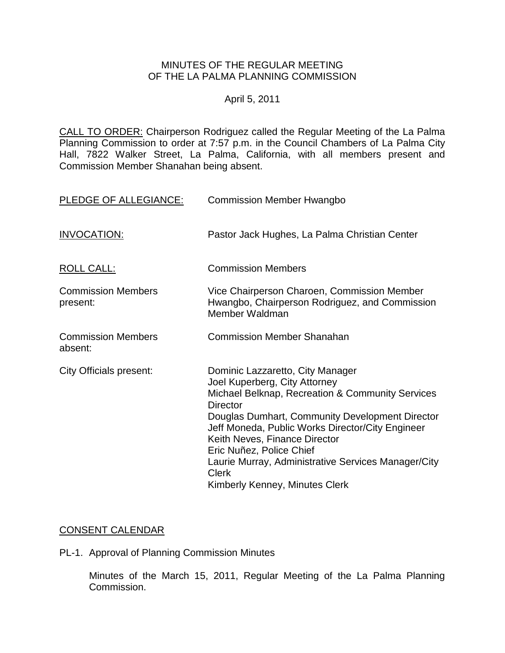#### MINUTES OF THE REGULAR MEETING OF THE LA PALMA PLANNING COMMISSION

## April 5, 2011

CALL TO ORDER: [Chairperson Rodriguez called the Regular Meeting of the La Palma](http://lapalma.granicus.com/MediaPlayerFrameHandler.php?view_id=&clip_id=562&meta_id=72014)  Planning Commission to order at 7:57 [p.m. in the Council Chambers of La Palma City](http://lapalma.granicus.com/MediaPlayerFrameHandler.php?view_id=&clip_id=562&meta_id=72014)  [Hall, 7822 Walker Street, La Palma, California, with all members present and](http://lapalma.granicus.com/MediaPlayerFrameHandler.php?view_id=&clip_id=562&meta_id=72014)  Commission [Member Shanahan being absent.](http://lapalma.granicus.com/MediaPlayerFrameHandler.php?view_id=&clip_id=562&meta_id=72014) 

| PLEDGE OF ALLEGIANCE:                 | <b>Commission Member Hwangbo</b>                                                                                                                                                                                                                                                                                                                                                                                      |
|---------------------------------------|-----------------------------------------------------------------------------------------------------------------------------------------------------------------------------------------------------------------------------------------------------------------------------------------------------------------------------------------------------------------------------------------------------------------------|
| <b>INVOCATION:</b>                    | Pastor Jack Hughes, La Palma Christian Center                                                                                                                                                                                                                                                                                                                                                                         |
| <b>ROLL CALL:</b>                     | <b>Commission Members</b>                                                                                                                                                                                                                                                                                                                                                                                             |
| <b>Commission Members</b><br>present: | Vice Chairperson Charoen, Commission Member<br>Hwangbo, Chairperson Rodriguez, and Commission<br>Member Waldman                                                                                                                                                                                                                                                                                                       |
| <b>Commission Members</b><br>absent:  | <b>Commission Member Shanahan</b>                                                                                                                                                                                                                                                                                                                                                                                     |
| <b>City Officials present:</b>        | Dominic Lazzaretto, City Manager<br>Joel Kuperberg, City Attorney<br>Michael Belknap, Recreation & Community Services<br><b>Director</b><br>Douglas Dumhart, Community Development Director<br>Jeff Moneda, Public Works Director/City Engineer<br>Keith Neves, Finance Director<br>Eric Nuñez, Police Chief<br>Laurie Murray, Administrative Services Manager/City<br><b>Clerk</b><br>Kimberly Kenney, Minutes Clerk |

### [CONSENT CALENDAR](http://lapalma.granicus.com/MediaPlayerFrameHandler.php?view_id=&clip_id=562&meta_id=72037)

PL-1. Approval of Planning Commission Minutes

Minutes of the March 15, 2011, Regular Meeting of the La Palma Planning Commission.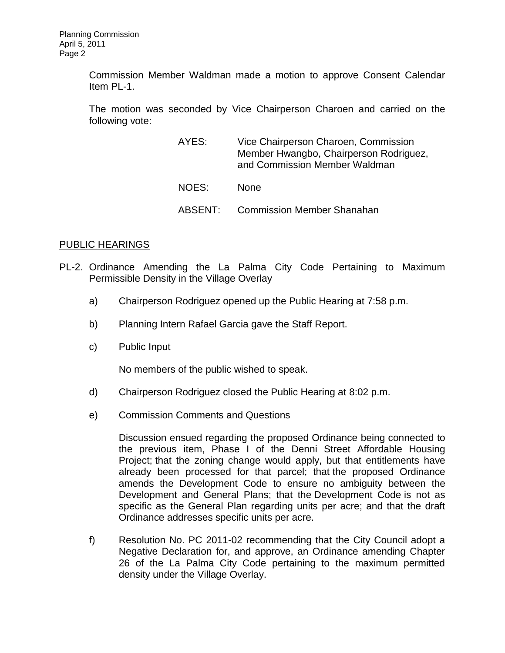Commission Member Waldman made a motion to approve Consent Calendar Item PL-1.

The motion was seconded by Vice Chairperson Charoen and carried on the following vote:

| AYES:   | Vice Chairperson Charoen, Commission<br>Member Hwangbo, Chairperson Rodriguez,<br>and Commission Member Waldman |
|---------|-----------------------------------------------------------------------------------------------------------------|
| NOES:   | <b>None</b>                                                                                                     |
| ABSENT: | <b>Commission Member Shanahan</b>                                                                               |

### [PUBLIC HEARINGS](http://lapalma.granicus.com/MediaPlayerFrameHandler.php?view_id=&clip_id=562&meta_id=72040)

- PL-2. Ordinance Amending the La [Palma City Code Pertaining to Maximum](http://lapalma.granicus.com/MediaPlayerFrameHandler.php?view_id=&clip_id=562&meta_id=72041)  Permissible [Density in the Village Overlay](http://lapalma.granicus.com/MediaPlayerFrameHandler.php?view_id=&clip_id=562&meta_id=72041) 
	- a) [Chairperson Rodriguez opened up the Public Hearing at 7:58 p.m.](http://lapalma.granicus.com/MediaPlayerFrameHandler.php?view_id=&clip_id=562&meta_id=72042)
	- b) [Planning Intern Rafael Garcia gave the Staff Report.](http://lapalma.granicus.com/MediaPlayerFrameHandler.php?view_id=&clip_id=562&meta_id=72043)
	- c) [Public Input](http://lapalma.granicus.com/MediaPlayerFrameHandler.php?view_id=&clip_id=562&meta_id=72044)

No members of the public wished to speak.

- d) [Chairperson Rodriguez closed the Public Hearing at](http://lapalma.granicus.com/MediaPlayerFrameHandler.php?view_id=&clip_id=562&meta_id=72045) 8:02 p.m.
- e) [Commission Comments and Questions](http://lapalma.granicus.com/MediaPlayerFrameHandler.php?view_id=&clip_id=562&meta_id=72046)

Discussion ensued regarding the proposed Ordinance being connected to the previous item, Phase I of the Denni Street Affordable Housing Project; that the zoning change would apply, but that entitlements have already been processed for that parcel; that the proposed Ordinance amends the Development Code to ensure no ambiguity between the Development and General Plans; that the Development Code is not as specific as the General Plan regarding units per acre; and that the draft Ordinance addresses specific units per acre.

f) Resolution No. PC 2011-02 recommending that the City Council adopt a Negative Declaration for, and approve, an Ordinance amending Chapter 26 of the La Palma City Code pertaining to the maximum permitted density under the Village Overlay.